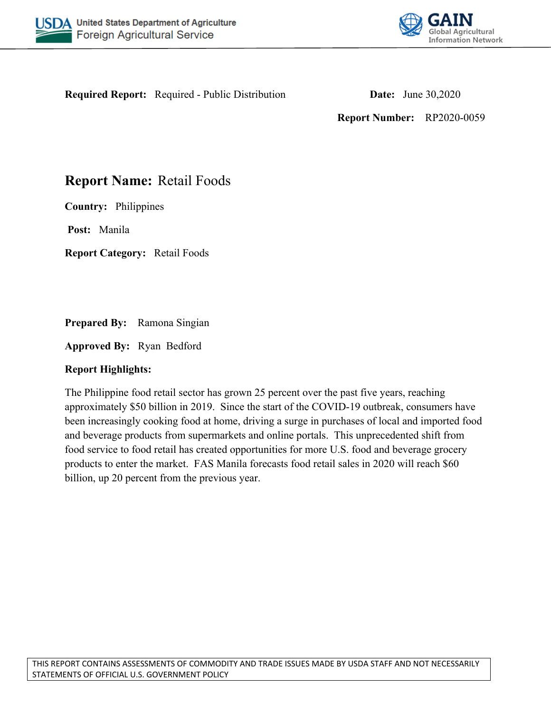



**Required Report:** Required - Public Distribution **Date:** June 30,2020

**Report Number:** RP2020-0059

# **Report Name:** Retail Foods

**Country:** Philippines

**Post:** Manila

**Report Category:** Retail Foods

**Prepared By:** Ramona Singian

**Approved By:** Ryan Bedford

### **Report Highlights:**

The Philippine food retail sector has grown 25 percent over the past five years, reaching approximately \$50 billion in 2019. Since the start of the COVID-19 outbreak, consumers have been increasingly cooking food at home, driving a surge in purchases of local and imported food and beverage products from supermarkets and online portals. This unprecedented shift from food service to food retail has created opportunities for more U.S. food and beverage grocery products to enter the market. FAS Manila forecasts food retail sales in 2020 will reach \$60 billion, up 20 percent from the previous year.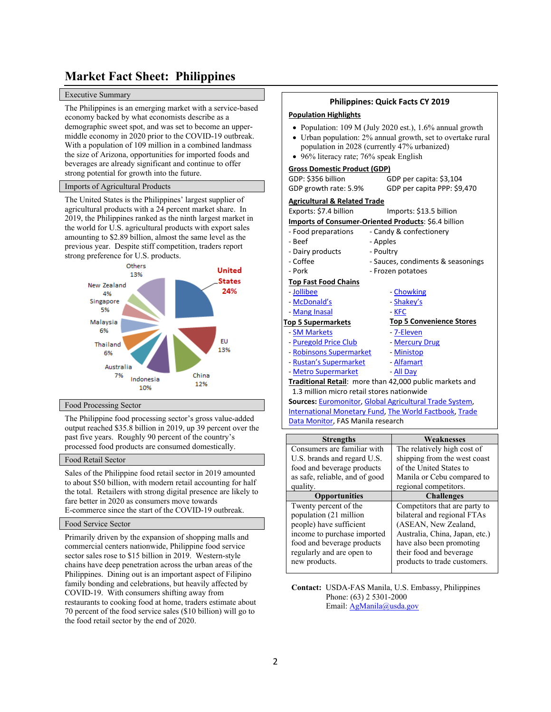# **Market Fact Sheet: Philippines**

#### Executive Summary

The Philippines is an emerging market with a service-based economy backed by what economists describe as a demographic sweet spot, and was set to become an uppermiddle economy in 2020 prior to the COVID-19 outbreak. With a population of 109 million in a combined landmass the size of Arizona, opportunities for imported foods and beverages are already significant and continue to offer strong potential for growth into the future.

#### Imports of Agricultural Products

The United States is the Philippines' largest supplier of agricultural products with a 24 percent market share. In 2019, the Philippines ranked as the ninth largest market in the world for U.S. agricultural products with export sales amounting to \$2.89 billion, almost the same level as the previous year. Despite stiff competition, traders report strong preference for U.S. products.



#### Food Processing Sector

The Philippine food processing sector's gross value-added output reached \$35.8 billion in 2019, up 39 percent over the past five years. Roughly 90 percent of the country's processed food products are consumed domestically.

#### Food Retail Sector

Sales of the Philippine food retail sector in 2019 amounted to about \$50 billion, with modern retail accounting for half the total. Retailers with strong digital presence are likely to fare better in 2020 as consumers move towards E-commerce since the start of the COVID-19 outbreak.

#### Food Service Sector

Primarily driven by the expansion of shopping malls and commercial centers nationwide, Philippine food service sector sales rose to \$15 billion in 2019. Western-style chains have deep penetration across the urban areas of the Philippines. Dining out is an important aspect of Filipino family bonding and celebrations, but heavily affected by COVID-19. With consumers shifting away from restaurants to cooking food at home, traders estimate about 70 percent of the food service sales (\$10 billion) will go to the food retail sector by the end of 2020.

#### **Philippines: Quick Facts CY 2019**

#### **Population Highlights**

- Population: 109 M (July 2020 est.), 1.6% annual growth
- Urban population: 2% annual growth, set to overtake rural population in 2028 (currently 47% urbanized)
- 96% literacy rate; 76% speak English

#### **Gross Domestic Product (GDP)**

|                           | GDP: \$356 billion                                   |           | GDP per capita: \$3,104                                       |
|---------------------------|------------------------------------------------------|-----------|---------------------------------------------------------------|
|                           | GDP growth rate: 5.9%                                |           | GDP per capita PPP: \$9,470                                   |
|                           | <b>Agricultural &amp; Related Trade</b>              |           |                                                               |
|                           | Exports: \$7.4 billion                               |           | Imports: \$13.5 billion                                       |
|                           | Imports of Consumer-Oriented Products: \$6.4 billion |           |                                                               |
|                           | - Food preparations                                  |           | - Candy & confectionery                                       |
|                           | - Beef                                               | - Apples  |                                                               |
|                           | - Dairy products                                     | - Poultry |                                                               |
|                           | - Coffee                                             |           | - Sauces, condiments & seasonings                             |
|                           | - Pork                                               |           | - Frozen potatoes                                             |
|                           | <b>Top Fast Food Chains</b>                          |           |                                                               |
|                           | - Jollibee                                           |           | - Chowking                                                    |
|                           | - McDonald's                                         |           | - Shakey's                                                    |
|                           | - Mang Inasal                                        |           | - KFC                                                         |
| <b>Top 5 Supermarkets</b> |                                                      |           | <b>Top 5 Convenience Stores</b>                               |
|                           | - SM Markets                                         |           | - 7-Eleven                                                    |
|                           | - Puregold Price Club                                |           | - Mercury Drug                                                |
|                           | - Robinsons Supermarket                              |           | - Ministop                                                    |
|                           | - Rustan's Supermarket                               |           | - Alfamart                                                    |
|                           | - Metro Supermarket                                  |           | - All Day                                                     |
|                           |                                                      |           | Traditional Retail: more than 42,000 public markets and       |
|                           | 1.3 million micro retail stores nationwide           |           |                                                               |
|                           |                                                      |           | Sources: Euromonitor, Global Agricultural Trade System,       |
|                           |                                                      |           | <b>International Monetary Fund, The World Factbook, Trade</b> |
|                           |                                                      |           |                                                               |

[Data Monitor](https://www.tdmlogin.com/tdm/default.asp), FAS Manila research

| <b>Strengths</b>               | Weaknesses                     |
|--------------------------------|--------------------------------|
| Consumers are familiar with    | The relatively high cost of    |
| U.S. brands and regard U.S.    | shipping from the west coast   |
| food and beverage products     | of the United States to        |
| as safe, reliable, and of good | Manila or Cebu compared to     |
| quality.                       | regional competitors.          |
| <b>Opportunities</b>           | <b>Challenges</b>              |
| Twenty percent of the          | Competitors that are party to  |
| population (21 million         | bilateral and regional FTAs    |
| people) have sufficient        | (ASEAN, New Zealand,           |
| income to purchase imported    | Australia, China, Japan, etc.) |
| food and beverage products     | have also been promoting       |
| regularly and are open to      | their food and beverage        |
| new products.                  | products to trade customers.   |
|                                |                                |

**Contact:** USDA-FAS Manila, U.S. Embassy, Philippines Phone: (63) 2 5301-2000 Email: [AgManila@usda.gov](mailto:AgManila@usda.gov)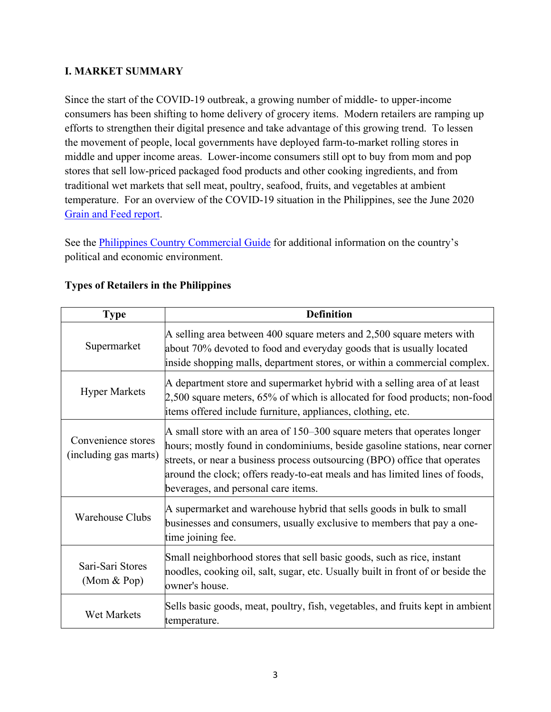## **I. MARKET SUMMARY**

Since the start of the COVID-19 outbreak, a growing number of middle- to upper-income consumers has been shifting to home delivery of grocery items. Modern retailers are ramping up efforts to strengthen their digital presence and take advantage of this growing trend. To lessen the movement of people, local governments have deployed farm-to-market rolling stores in middle and upper income areas. Lower-income consumers still opt to buy from mom and pop stores that sell low-priced packaged food products and other cooking ingredients, and from traditional wet markets that sell meat, poultry, seafood, fruits, and vegetables at ambient temperature. For an overview of the COVID-19 situation in the Philippines, see the June 2020 [Grain and Feed report.](https://www.fas.usda.gov/data/philippines-grain-and-feed-update-13)

See the [Philippines Country Commercial Guide](https://www.export.gov/article?series=a0pt0000000PAuhAAG&type=Country_Commercial__kav) for additional information on the country's political and economic environment.

| <b>Type</b>                                 | <b>Definition</b>                                                                                                                                                                                                                                                                                                                                            |
|---------------------------------------------|--------------------------------------------------------------------------------------------------------------------------------------------------------------------------------------------------------------------------------------------------------------------------------------------------------------------------------------------------------------|
| Supermarket                                 | A selling area between 400 square meters and $2,500$ square meters with<br>about 70% devoted to food and everyday goods that is usually located<br>inside shopping malls, department stores, or within a commercial complex.                                                                                                                                 |
| <b>Hyper Markets</b>                        | A department store and supermarket hybrid with a selling area of at least<br>$2,500$ square meters, 65% of which is allocated for food products; non-food<br>items offered include furniture, appliances, clothing, etc.                                                                                                                                     |
| Convenience stores<br>(including gas marts) | A small store with an area of $150-300$ square meters that operates longer<br>hours; mostly found in condominiums, beside gasoline stations, near corner<br>streets, or near a business process outsourcing (BPO) office that operates<br>around the clock; offers ready-to-eat meals and has limited lines of foods,<br>beverages, and personal care items. |
| <b>Warehouse Clubs</b>                      | A supermarket and warehouse hybrid that sells goods in bulk to small<br>businesses and consumers, usually exclusive to members that pay a one-<br>time joining fee.                                                                                                                                                                                          |
| Sari-Sari Stores<br>$(Mom \& Pop)$          | Small neighborhood stores that sell basic goods, such as rice, instant<br>noodles, cooking oil, salt, sugar, etc. Usually built in front of or beside the<br>owner's house.                                                                                                                                                                                  |
| <b>Wet Markets</b>                          | Sells basic goods, meat, poultry, fish, vegetables, and fruits kept in ambient<br>temperature.                                                                                                                                                                                                                                                               |

## **Types of Retailers in the Philippines**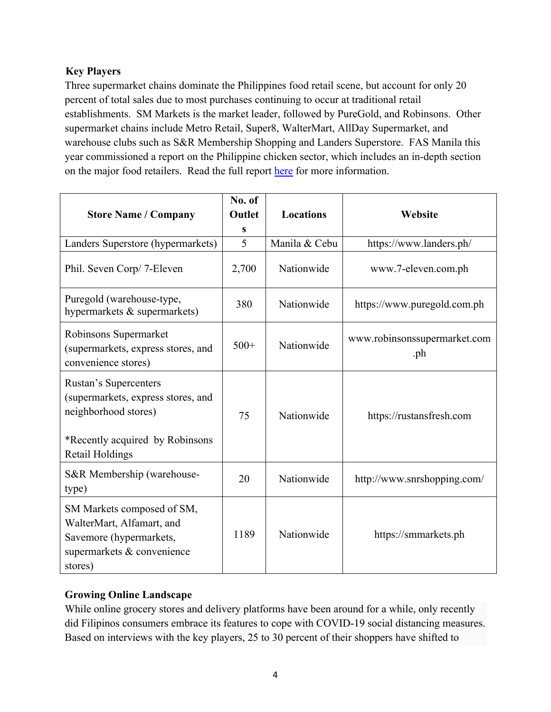# **Key Players**

Three supermarket chains dominate the Philippines food retail scene, but account for only 20 percent of total sales due to most purchases continuing to occur at traditional retail establishments. SM Markets is the market leader, followed by PureGold, and Robinsons. Other supermarket chains include Metro Retail, Super8, WalterMart, AllDay Supermarket, and warehouse clubs such as S&R Membership Shopping and Landers Superstore. FAS Manila this year commissioned a report on the Philippine chicken sector, which includes an in-depth section on the major food retailers. Read the full report [here](https://www.fas.usda.gov/data/philippines-philippine-broiler-market-trends-and-prospects) for more information.

| <b>Store Name / Company</b>                                                                                                 | No. of<br>Outlet<br>S | <b>Locations</b> | Website                             |  |
|-----------------------------------------------------------------------------------------------------------------------------|-----------------------|------------------|-------------------------------------|--|
| Landers Superstore (hypermarkets)                                                                                           | 5                     | Manila & Cebu    | https://www.landers.ph/             |  |
| Phil. Seven Corp/ 7-Eleven                                                                                                  | 2,700                 | Nationwide       | www.7-eleven.com.ph                 |  |
| Puregold (warehouse-type,<br>hypermarkets & supermarkets)                                                                   | 380                   | Nationwide       | https://www.puregold.com.ph         |  |
| Robinsons Supermarket<br>(supermarkets, express stores, and<br>convenience stores)                                          | $500+$                | Nationwide       | www.robinsonssupermarket.com<br>.ph |  |
| <b>Rustan's Supercenters</b><br>(supermarkets, express stores, and<br>neighborhood stores)                                  | 75                    | Nationwide       | https://rustansfresh.com            |  |
| *Recently acquired by Robinsons<br>Retail Holdings                                                                          |                       |                  |                                     |  |
| S&R Membership (warehouse-<br>type)                                                                                         | 20                    | Nationwide       | http://www.snrshopping.com/         |  |
| SM Markets composed of SM,<br>WalterMart, Alfamart, and<br>Savemore (hypermarkets,<br>supermarkets & convenience<br>stores) | 1189                  | Nationwide       | https://smmarkets.ph                |  |

### **Growing Online Landscape**

While online grocery stores and delivery platforms have been around for a while, only recently did Filipinos consumers embrace its features to cope with COVID-19 social distancing measures. Based on interviews with the key players, 25 to 30 percent of their shoppers have shifted to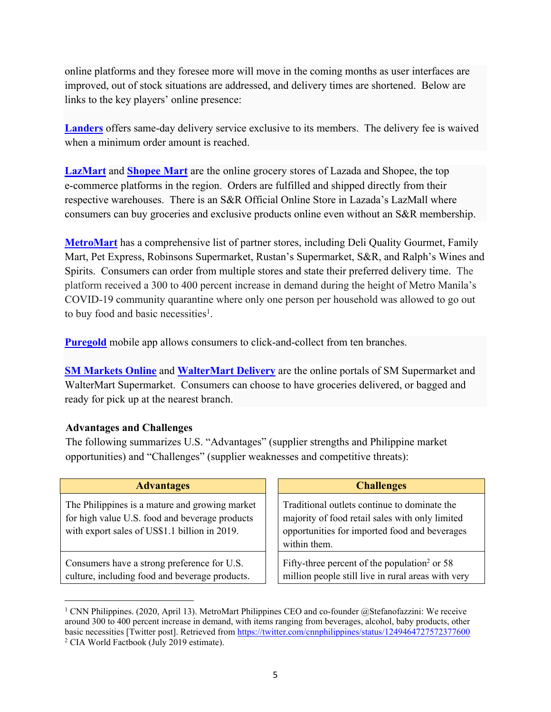online platforms and they foresee more will move in the coming months as user interfaces are improved, out of stock situations are addressed, and delivery times are shortened. Below are links to the key players' online presence:

**[Landers](https://www.landers.ph/)** offers same-day delivery service exclusive to its members. The delivery fee is waived when a minimum order amount is reached.

**[LazMart](https://www.lazada.com.ph/shop/lazmart-onlineph/)** and **[Shopee Mart](https://shopee.ph/shopeemartph)** are the online grocery stores of Lazada and Shopee, the top e-commerce platforms in the region. Orders are fulfilled and shipped directly from their respective warehouses. There is an S&R Official Online Store in Lazada's LazMall where consumers can buy groceries and exclusive products online even without an S&R membership.

**[MetroMart](https://www.metromart.com/welcome/shops)** has a comprehensive list of partner stores, including Deli Quality Gourmet, Family Mart, Pet Express, Robinsons Supermarket, Rustan's Supermarket, S&R, and Ralph's Wines and Spirits. Consumers can order from multiple stores and state their preferred delivery time. The platform received a 300 to 400 percent increase in demand during the height of Metro Manila's COVID-19 community quarantine where only one person per household was allowed to go out to buy food and basic necessities<sup>1</sup>.

**[Puregold](http://www.puregold.com.ph/)** mobile app allows consumers to click-and-collect from ten branches.

**[SM Markets Online](https://shop.smmarkets.ph/)** and **[WalterMart Delivery](https://www.waltermartdelivery.com.ph/)** are the online portals of SM Supermarket and WalterMart Supermarket. Consumers can choose to have groceries delivered, or bagged and ready for pick up at the nearest branch.

### **Advantages and Challenges**

The following summarizes U.S. "Advantages" (supplier strengths and Philippine market opportunities) and "Challenges" (supplier weaknesses and competitive threats):

| <b>Advantages</b>                                                                                                                                 | <b>Challenges</b>                                                                                                                                                |
|---------------------------------------------------------------------------------------------------------------------------------------------------|------------------------------------------------------------------------------------------------------------------------------------------------------------------|
| The Philippines is a mature and growing market<br>for high value U.S. food and beverage products<br>with export sales of US\$1.1 billion in 2019. | Traditional outlets continue to dominate the<br>majority of food retail sales with only limited<br>opportunities for imported food and beverages<br>within them. |
| Consumers have a strong preference for U.S.<br>culture, including food and beverage products.                                                     | Fifty-three percent of the population <sup>2</sup> or 58<br>million people still live in rural areas with very                                                   |

<sup>&</sup>lt;sup>1</sup> CNN Philippines. (2020, April 13). MetroMart Philippines CEO and co-founder @Stefanofazzini: We receive around 300 to 400 percent increase in demand, with items ranging from beverages, alcohol, baby products, other basic necessities [Twitter post]. Retrieved from <https://twitter.com/cnnphilippines/status/1249464727572377600> 2 CIA World Factbook (July 2019 estimate).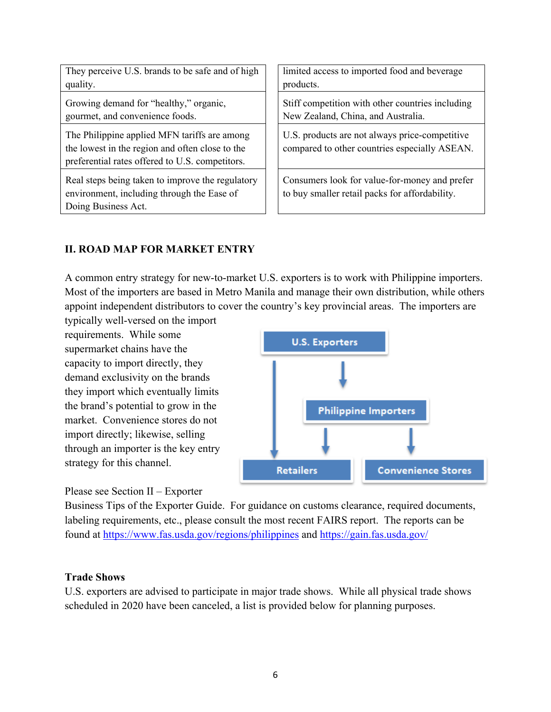Please see Section II – Exporter

strategy for this channel.

requirements. While some supermarket chains have the capacity to import directly, they demand exclusivity on the brands they import which eventually limits the brand's potential to grow in the market. Convenience stores do not import directly; likewise, selling through an importer is the key entry

A common entry strategy for new-to-market U.S. exporters is to work with Philippine importers. appoint independent distributors to cover the country's key provincial areas. The importers are typically well-versed on the import

They perceive U.S. brands to be safe and of high quality.

Growing demand for "healthy," organic, gourmet, and convenience foods.

The Philippine applied MFN tariffs are among the lowest in the region and often close to the preferential rates offered to U.S. competitors.

Real steps being taken to improve the regulatory environment, including through the Ease of Doing Business Act.

limited access to imported food and beverage products.

Stiff competition with other countries including New Zealand, China, and Australia.

U.S. products are not always price-competitive compared to other countries especially ASEAN.

Consumers look for value-for-money and prefer to buy smaller retail packs for affordability.

# **II. ROAD MAP FOR MARKET ENTRY**

Most of the importers are based in Metro Manila and manage their own distribution, while others



Business Tips of the Exporter Guide. For guidance on customs clearance, required documents, labeling requirements, etc., please consult the most recent FAIRS report. The reports can be found at <https://www.fas.usda.gov/regions/philippines> and <https://gain.fas.usda.gov/>

### **Trade Shows**

U.S. exporters are advised to participate in major trade shows. While all physical trade shows scheduled in 2020 have been canceled, a list is provided below for planning purposes.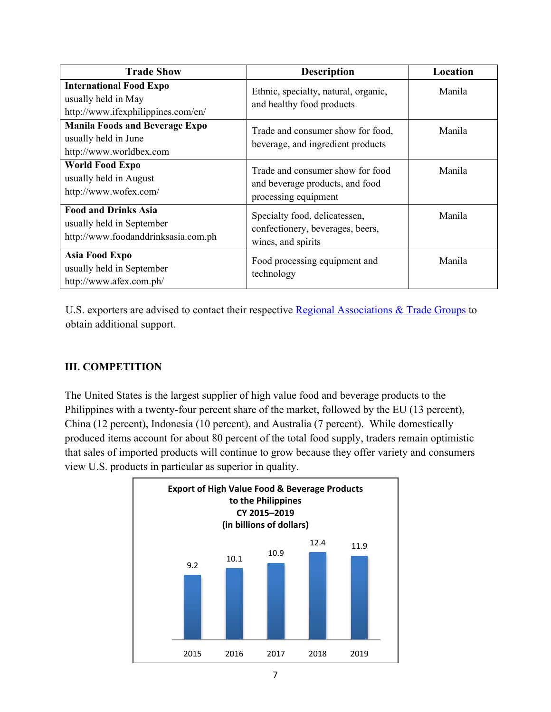| <b>Trade Show</b>                                                                               | <b>Description</b>                                                                          | Location      |
|-------------------------------------------------------------------------------------------------|---------------------------------------------------------------------------------------------|---------------|
| <b>International Food Expo</b><br>usually held in May<br>http://www.ifexphilippines.com/en/     | Ethnic, specialty, natural, organic,<br>and healthy food products                           | Manila        |
| <b>Manila Foods and Beverage Expo</b><br>usually held in June<br>http://www.worldbex.com        | Trade and consumer show for food,<br>beverage, and ingredient products                      | Manila        |
| <b>World Food Expo</b><br>usually held in August<br>http://www.wofex.com/                       | Trade and consumer show for food<br>and beverage products, and food<br>processing equipment | <b>Manila</b> |
| <b>Food and Drinks Asia</b><br>usually held in September<br>http://www.foodanddrinksasia.com.ph | Specialty food, delicatessen,<br>confectionery, beverages, beers,<br>wines, and spirits     | Manila        |
| Asia Food Expo<br>usually held in September<br>http://www.afex.com.ph/                          | Food processing equipment and<br>technology                                                 | Manila        |

U.S. exporters are advised to contact their respective [Regional Associations & Trade Groups](https://www.nasda.org/about/regional-associations-trade-groups) to obtain additional support.

# **III. COMPETITION**

The United States is the largest supplier of high value food and beverage products to the Philippines with a twenty-four percent share of the market, followed by the EU (13 percent), China (12 percent), Indonesia (10 percent), and Australia (7 percent). While domestically produced items account for about 80 percent of the total food supply, traders remain optimistic that sales of imported products will continue to grow because they offer variety and consumers view U.S. products in particular as superior in quality.